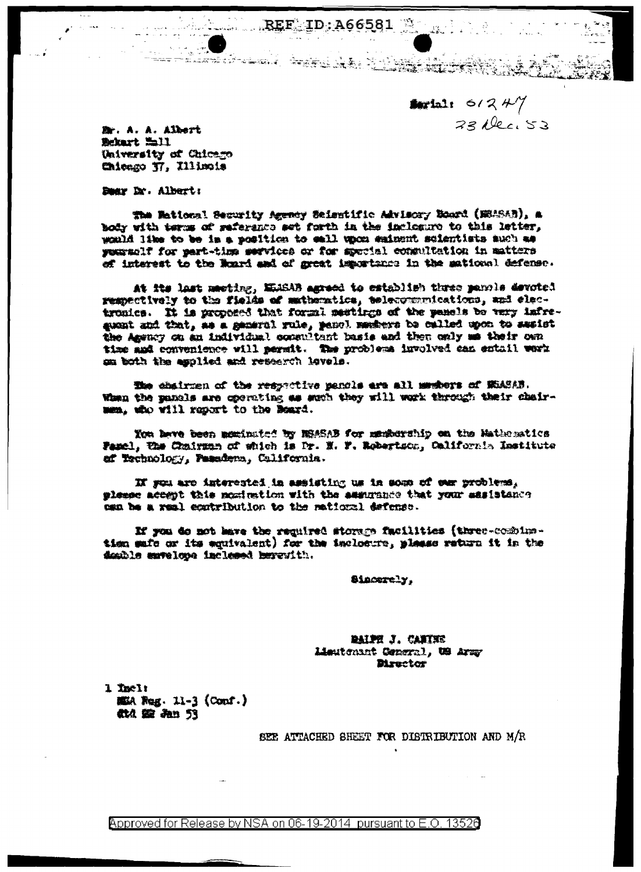**Section:**  $6/2$   $4\frac{1}{7}$  $33$  dec  $53$ 

Br. A. A. Albert Schart Lill University of Chicago Chicago T7, Illinois

Dear Dr. Albert:

The Mational Security Agency Salentific Advisory Board (MRASAD), a body with terms of seferance set forth in the inclease to this letter, would like to be in a position to sall upon sainent scientists auch as yearsolf for part-time services or for special consultation in matters of interest to the Roard and of great importance in the mational defense.

 $REF$   $ID: A66581$ 

At its last meeting, MEASAB agreed to establish three panols devoted respectively to the fields of mathematics, telecommunications, and electronics. It is proposed that formi mestings of the panels be very infreguent and that, as a general rule, panel members be called upon to sesist the Agency on an individual consultant basis and then only me their own time and convenience will permit. The problems involved can entail werk om both the applied and research levels.

The chairmen of the respective pancls are all memors of NEASAB. When the panals are operating as such they will work through their chairmen, who will report to the Beard.

You have been mominated by MSASAB for membership on the Hathesatics Famel, the Chairman of which is Dr. N. F. Robertson, California Institute af Eschnology, Fasadena, California.

IN you are interested in assisting us in some of our problems, please accept this nomination with the ammuninee that your sasistance can be a real ecutribution to the mational defense.

If you do not have the required storage facilities (three-combinetion safe or its equivalent) for the inclosure, plasse return it in the deathle envelope inclessed berewith.

Siacerely,

RAIRE J. CANTEE Lieutenant Ceneral, US Army **Birector** 

1 Tnel: 護A Reg. 11-3 (Conf.) 做空 An 53

SEE ATTACHED SHEET FOR DISTRIBUTION AND M/R

Approved for Release by NSA on 06-19-2014 pursuant to E.O. 13526